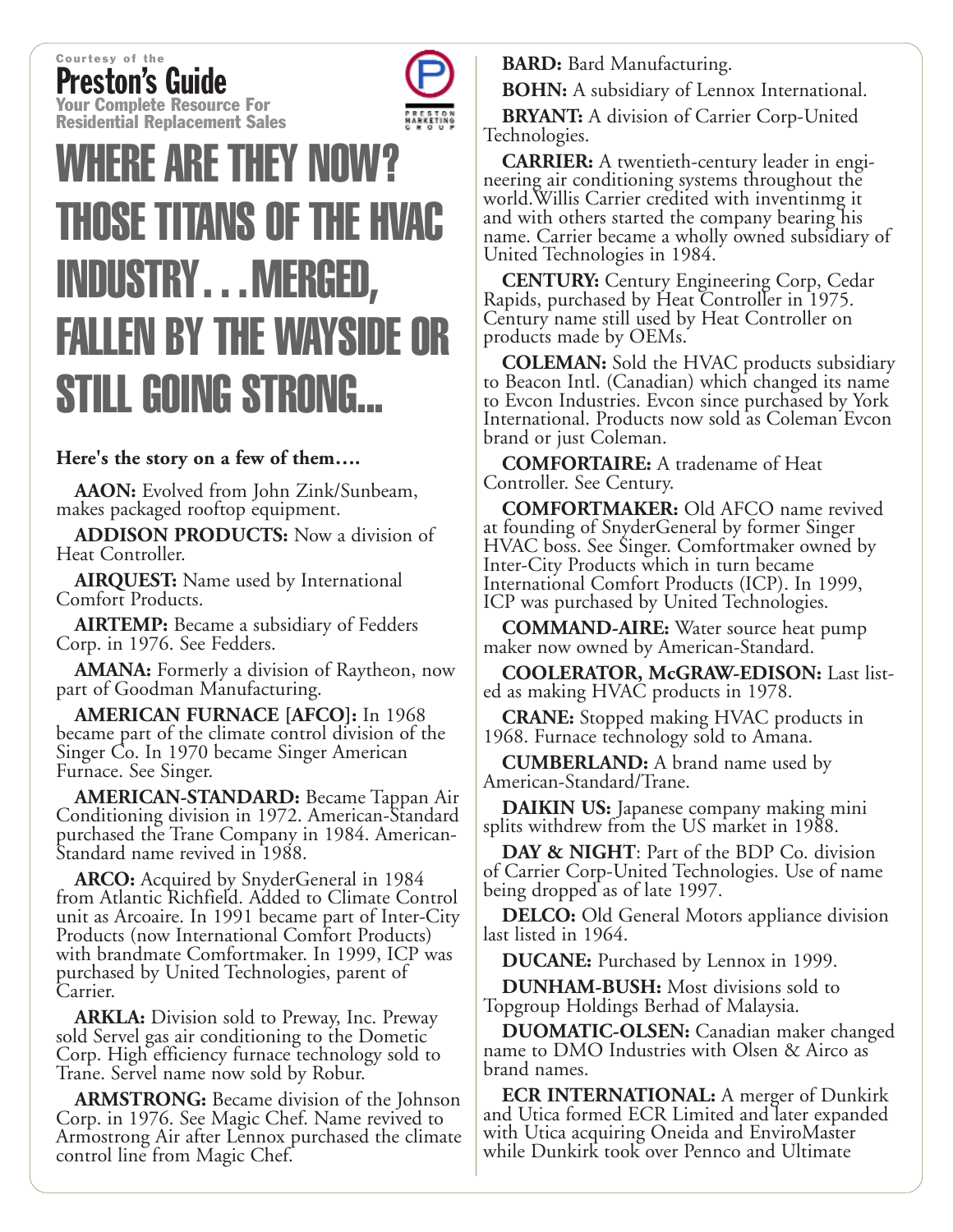Courtesy of the Preston's Guide **Your Complete Resource For Residential Replacement Sales**



## **WHERE ARE THEY NOW? THOSE TITANS OF THE HVAC INDUSTRY...MERGED, FALLEN BY THE WAYSIDE OR STILL GOING STRONG...**

## **Here's the story on a few of them….**

**AAON:** Evolved from John Zink/Sunbeam, makes packaged rooftop equipment.

**ADDISON PRODUCTS:** Now a division of Heat Controller.

**AIRQUEST:** Name used by International Comfort Products.

**AIRTEMP:** Became a subsidiary of Fedders Corp. in 1976. See Fedders.

**AMANA:** Formerly a division of Raytheon, now part of Goodman Manufacturing.

**AMERICAN FURNACE [AFCO]:** In 1968 became part of the climate control division of the Singer Co. In 1970 became Singer American Furnace. See Singer.

**AMERICAN-STANDARD:** Became Tappan Air Conditioning division in 1972. American-Standard purchased the Trane Company in 1984. American- Standard name revived in 1988.

**ARCO:** Acquired by SnyderGeneral in 1984 from Atlantic Richfield. Added to Climate Control unit as Arcoaire. In 1991 became part of Inter-City Products (now International Comfort Products) with brandmate Comfortmaker. In 1999, ICP was purchased by United Technologies, parent of Carrier.

**ARKLA:** Division sold to Preway, Inc. Preway sold Servel gas air conditioning to the Dometic Corp. High efficiency furnace technology sold to Trane. Servel name now sold by Robur.

**ARMSTRONG:** Became division of the Johnson Corp. in 1976. See Magic Chef. Name revived to Armostrong Air after Lennox purchased the climate control line from Magic Chef.

**BARD:** Bard Manufacturing.

**BOHN:** A subsidiary of Lennox International.

**BRYANT:** A division of Carrier Corp-United Technologies.

**CARRIER:** A twentieth-century leader in engineering air conditioning systems throughout the world.Willis Carrier credited with inventinmg it and with others started the company bearing his name. Carrier became a wholly owned subsidiary of United Technologies in 1984.

**CENTURY:** Century Engineering Corp, Cedar Rapids, purchased by Heat Controller in 1975. Century name still used by Heat Controller on products made by OEMs.

**COLEMAN:** Sold the HVAC products subsidiary to Beacon Intl. (Canadian) which changed its name to Evcon Industries. Evcon since purchased by York International. Products now sold as Coleman Evcon brand or just Coleman.

**COMFORTAIRE:** A tradename of Heat Controller. See Century.

**COMFORTMAKER:** Old AFCO name revived at founding of SnyderGeneral by former Singer HVAC boss. See Singer. Comfortmaker owned by Inter-City Products which in turn became International Comfort Products (ICP). In 1999, ICP was purchased by United Technologies.

**COMMAND-AIRE:** Water source heat pump maker now owned by American-Standard.

**COOLERATOR, McGRAW-EDISON:** Last listed as making HVAC products in 1978.

**CRANE:** Stopped making HVAC products in 1968. Furnace technology sold to Amana.

**CUMBERLAND:** A brand name used by American-Standard/Trane.

**DAIKIN US:** Japanese company making mini splits withdrew from the US market in 1988.

**DAY & NIGHT**: Part of the BDP Co. division of Carrier Corp-United Technologies. Use of name being dropped as of late 1997.

**DELCO:** Old General Motors appliance division last listed in 1964.

**DUCANE:** Purchased by Lennox in 1999.

**DUNHAM-BUSH:** Most divisions sold to Topgroup Holdings Berhad of Malaysia.

**DUOMATIC-OLSEN:** Canadian maker changed name to DMO Industries with Olsen & Airco as brand names.

**ECR INTERNATIONAL:** A merger of Dunkirk and Utica formed ECR Limited and later expanded with Utica acquiring Oneida and EnviroMaster while Dunkirk took over Pennco and Ultimate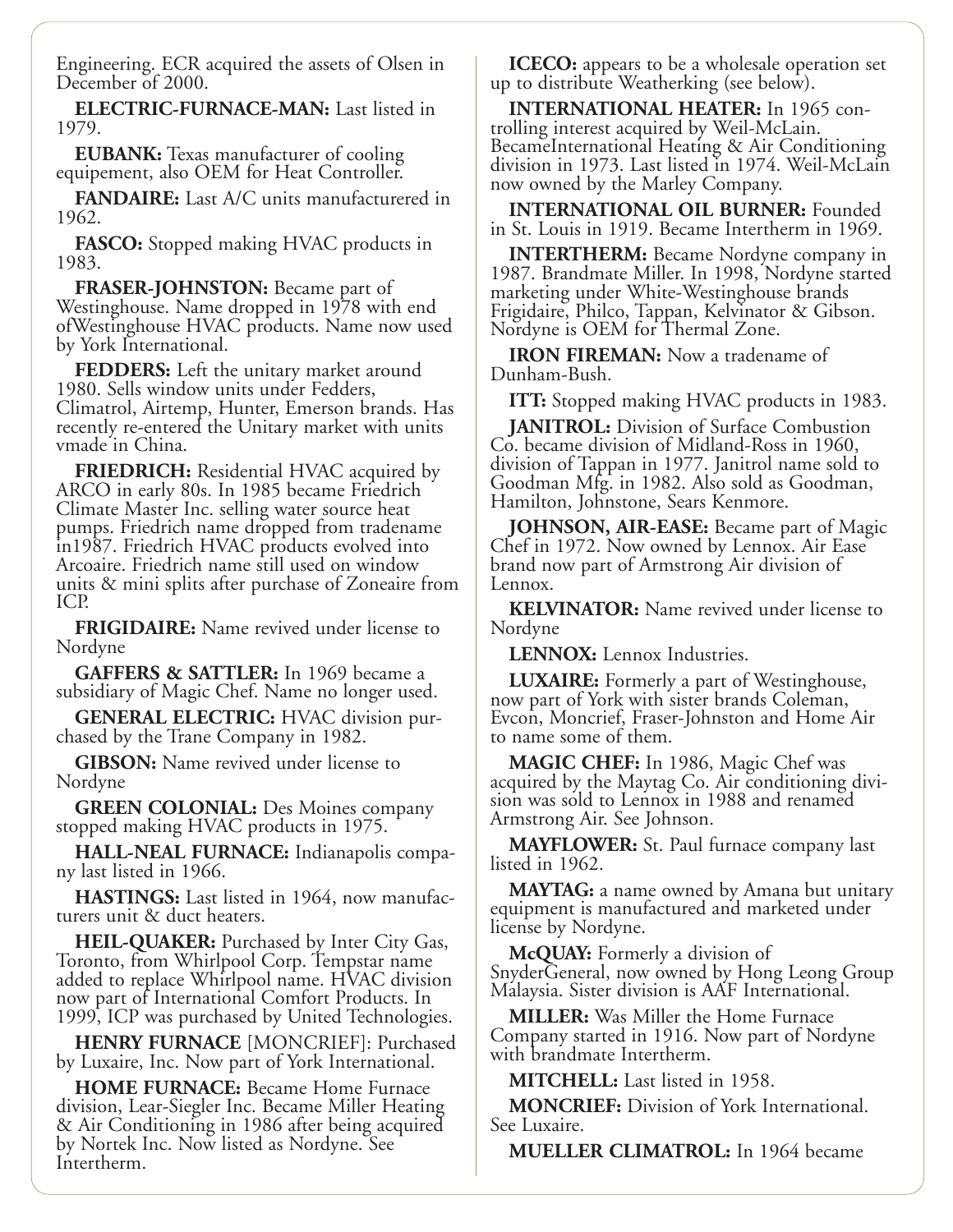Engineering. ECR acquired the assets of Olsen in December of 2000.

**ELECTRIC-FURNACE-MAN:** Last listed in 1979.

**EUBANK:** Texas manufacturer of cooling equipement, also OEM for Heat Controller.

**FANDAIRE:** Last A/C units manufacturered in 1962.

**FASCO:** Stopped making HVAC products in 1983.

**FRASER-JOHNSTON:** Became part of Westinghouse. Name dropped in 1978 with end ofWestinghouse HVAC products. Name now used by York International.

**FEDDERS:** Left the unitary market around 1980. Sells window units under Fedders, Climatrol, Airtemp, Hunter, Emerson brands. Has recently re-entered the Unitary market with units vmade in China.

**FRIEDRICH:** Residential HVAC acquired by ARCO in early 80s. In 1985 became Friedrich Climate Master Inc. selling water source heat pumps. Friedrich name dropped from tradename in1987. Friedrich HVAC products evolved into Arcoaire. Friedrich name still used on window units & mini splits after purchase of Zoneaire from ICP.

**FRIGIDAIRE:** Name revived under license to Nordyne

**GAFFERS & SATTLER:** In 1969 became a subsidiary of Magic Chef. Name no longer used.

**GENERAL ELECTRIC:** HVAC division pur-<br>chased by the Trane Company in 1982.

**GIBSON:** Name revived under license to Nordyne

**GREEN COLONIAL:** Des Moines company stopped making HVAC products in 1975.

HALL-NEAL FURNACE: Indianapolis compa-<br>ny last listed in 1966.

**HASTINGS:** Last listed in 1964, now manufacturers unit & duct heaters.

**HEIL-QUAKER:** Purchased by Inter City Gas, Toronto, from Whirlpool Corp. Tempstar name added to replace Whirlpool name. HVAC division now part of International Comfort Products. In 1999, ICP was purchased by United Technologies.

**HENRY FURNACE** [MONCRIEF]: Purchased by Luxaire, Inc. Now part of York International.

**HOME FURNACE:** Became Home Furnace division, Lear-Siegler Inc. Became Miller Heating & Air Conditioning in 1986 after being acquired by Nortek Inc. Now listed as Nordyne. See Intertherm.

**ICECO:** appears to be a wholesale operation set up to distribute Weatherking (see below).

**INTERNATIONAL HEATER:** In 1965 controlling interest acquired by Weil-McLain. BecameInternational Heating & Air Conditioning division in 1973. Last listed in 1974. Weil-McLain now owned by the Marley Company.

**INTERNATIONAL OIL BURNER:** Founded in St. Louis in 1919. Became Intertherm in 1969.

**INTERTHERM:** Became Nordyne company in 1987. Brandmate Miller. In 1998, Nordyne started marketing under White-Westinghouse brands Frigidaire, Philco, Tappan, Kelvinator & Gibson. Nordyne is OEM for Thermal Zone.

**IRON FIREMAN:** Now a tradename of Dunham-Bush.

**ITT:** Stopped making HVAC products in 1983.

**JANITROL:** Division of Surface Combustion Co. became division of Midland-Ross in 1960, division of Tappan in 1977. Janitrol name sold to Goodman Mfg. in 1982. Also sold as Goodman, Hamilton, Johnstone, Sears Kenmore.

**JOHNSON, AIR-EASE:** Became part of Magic Chef in 1972. Now owned by Lennox. Air Ease brand now part of Armstrong Air division of Lennox.

**KELVINATOR:** Name revived under license to Nordyne

**LENNOX:** Lennox Industries.

**LUXAIRE:** Formerly a part of Westinghouse, now part of York with sister brands Coleman, Evcon, Moncrief, Fraser-Johnston and Home Air to name some of them.

**MAGIC CHEF:** In 1986, Magic Chef was acquired by the Maytag Co. Air conditioning division was sold to Lennox in 1988 and renamed Armstrong Air. See Johnson.

**MAYFLOWER:** St. Paul furnace company last listed in 1962.

**MAYTAG:** a name owned by Amana but unitary equipment is manufactured and marketed under license by Nordyne.

**McQUAY:** Formerly a division of<br>SnyderGeneral, now owned by Hong Leong Group Malaysia. Sister division is AAF International.

**MILLER:** Was Miller the Home Furnace Company started in 1916. Now part of Nordyne with brandmate Intertherm.

**MITCHELL:** Last listed in 1958.

**MONCRIEF:** Division of York International. See Luxaire.

**MUELLER CLIMATROL:** In 1964 became